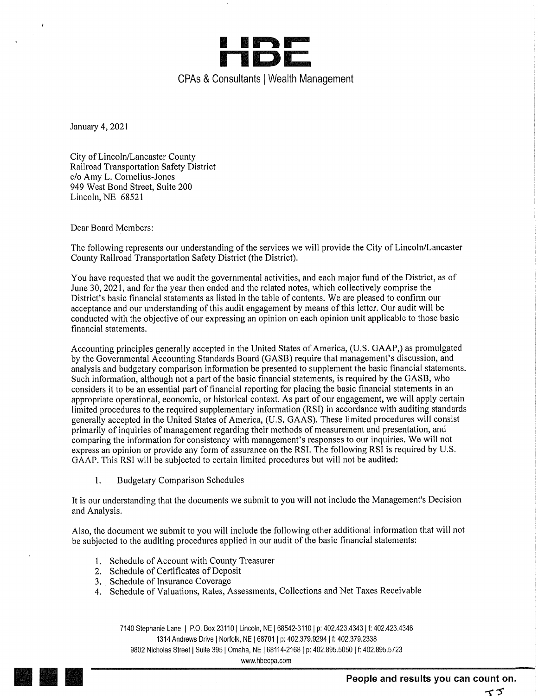

January 4,2021

 $\epsilon$ 

City of Lincoln/Lancaster County Railroad Transportation Safety District c/o Amy L. Cornelius-Jones 949 West Bond Street, Suite 200 Lincoln, NE 68521

Dear Board Members:

The following represents our understanding of the services we will provide the City of Lincoln/Lancaster County Railroad Transportation Safety District (the District).

You have requested that we audit the governmental activities, and each major fund of the District, as of June 30,2021,and for the year then ended and the related notes, which collectively comprise the District's basic financial statements as listed in the table of contents. We are pleased to confirm our acceptance and our understanding of this audit engagement by means of this letter. Our audit will be conducted with the objective of our expressing an opinion on each opinion unit applicable to those basic financial statements.

Accounting principles generally accepted in the United States of America, (U.S, GAAP,) as promulgated by the Governmental Accounting Standards Board (GASB) require that management's discussion, and analysis and budgetary comparison information be presented to supplement the basic financial statements. Such information, although not a part of the basic financial statements, is required by the GASB, who considers it to be an essential part of financial reporting for placing the basic financial statements in an appropriate operational, economic, or historical context. As part of our engagement, we will apply certain limited procedures to the required supplementary information (RSI) in accordance with auditing standards generally accepted in the United States of America, (U.S. GAAS). These limited procedures will consist primarily of inquiries of management regarding their methods of measurement and presentation, and comparing the information for consistency with management's responses to our inquiries. We will not express an opinion or provide any form of assurance on the RSI. The following RSI is required by U.S. GAAP. This RSI will be subjected to certain limited procedures but will not be audited:

1. Budgetary Comparison Schedules

It is our understanding that the documents we submit to you will not include the Management's Decision and Analysis.

Also, the document we submit to you will include the following other additional information that will not be subjected to the auditing procedures applied in our audit of the basic financial statements:

- 1. Schedule of Account with County Treasurer
- 2. Schedule of Certificates of Deposit
- 3. Schedule of Insurance Coverage
- 4. Schedule of Valuations, Rates, Assessments, Collections and Net Taxes Receivable

7140 Stephanie Lane | P.O. Box 23110 | Lincoln, NE | 68542-3110 | p: 402.423.4343 | f: 402.423.4346 1314 Andrews Drive | Norfolk, NE | 68701 | p: 402.379.9294 | f: 402.379.2338 9802 Nicholas Street | Suite 395 | Omaha, NE | 68114-2168 | p: 402.895.5050 | f: 402.895.5723

www.hbecpa.com

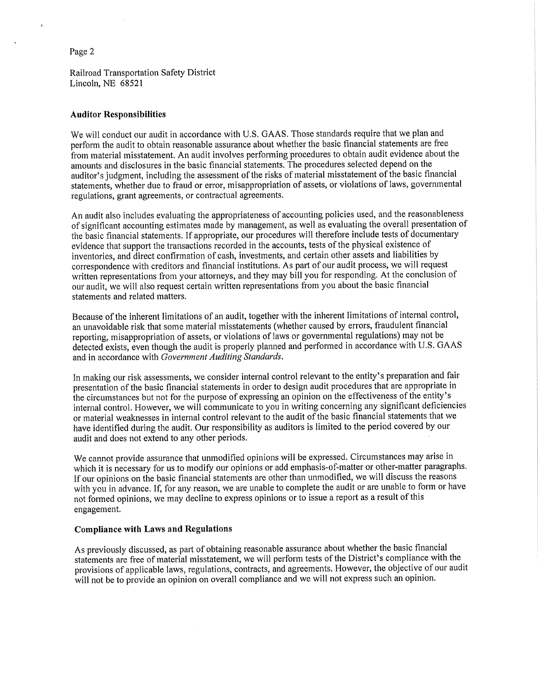Railroad Transportation Safety District Lincoln, NE 68521

#### Auditor Responsibilities

We will conduct our audit in accordance with U.S. GAAS. Those standards require that we plan and perform the audit to obtain reasonable assurance about whether the basic financial statements are free from material misstatement. An audit involves performing procedures to obtain audit evidence about the amounts and disclosures in the basic financial statements. The procedures selected depend on the auditor's judgment, including the assessment of the risks of material misstatement of the basic financial statements, whether due to fraud or error, misappropriation of assets, or violations of laws, governmental regulations, grant agreements, or contractual agreements.

An audit also includes evaluating the appropriateness of accounting policies used, and the reasonableness of significant accounting estimates made by management, as well as evaluating the overall presentation of the basic financial statements. If appropriate, our procedures will therefore include tests of documentary evidence that support the transactions recorded in the accounts, tests of the physical existence of inventories, and direct confirmation of cash, investments, and certain other assets and liabilities by correspondence with creditors and financial institutions. As part of our audit process, we will request written representations from your attorneys, and they may bill you for responding. At the conclusion of our audit, we will also request certain written representations from you about the basic financial statements and related matters.

Because of the inherent limitations of an audit, together with the inherent limitations of internal control, an unavoidable risk that some material misstatements (whether caused by errors, fraudulent financial reporting, misappropriation of assets, or violations of laws or governmental regulations) may not be detected exists, even though the audit is properly planned and performed in accordance with U.S. GAAS and in accordance with Government Auditing Standards,

In making our risk assessments, we consider internal control relevant to the entity's preparation and fair presentation of the basic financial statements in order to design audit procedures that are appropriate in the circumstances but not for the purpose of expressing an opinion on the effectiveness of the entity's internal control. However, we will communicate to you in writing concerning any significant deficiencies or material weaknesses in internal control relevant to the audit of the basic financial statements that we have identified during the audit. Our responsibility as auditors is limited to the period covered by our audit and does not extend to any other periods.

We cannot provide assurance that unmodified opinions will be expressed. Circumstances may arise in which it is necessary for us to modify our opinions or add emphasis-of-matter or other-matter paragraphs. If our opinions on the basic financial statements are other than unmodified, we will discuss the reasons with you in advance. If, for any reason, we are unable to complete the audit or are unable to form or have not formed opinions, we may decline to express opinions or to issue a report as a result of this engagement.

#### Compliance with Laws and Regulations

As previously discussed, as part of obtaining reasonable assurance about whether the basic financial statements are free of material misstatement, we will perform tests of the District's compliance with the provisions of applicable laws, regulations, contracts, and agreements. However, the objective of our audit will not be to provide an opinion on overall compliance and we will not express such an opinion.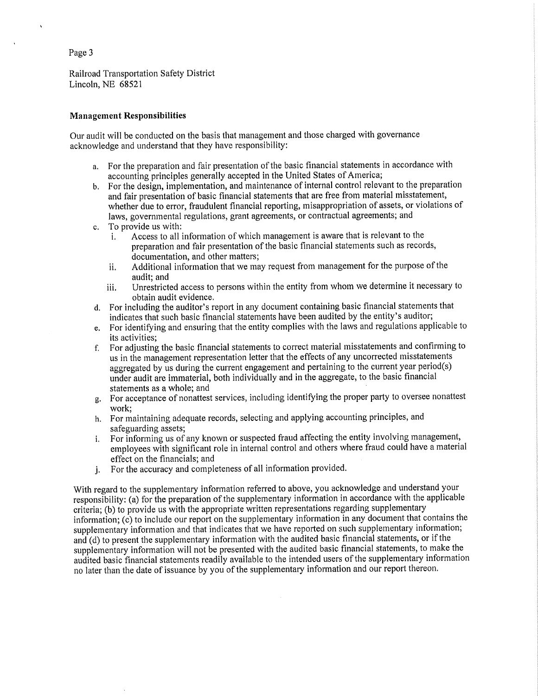Railroad Transportation Safety District Lincoln, NE 68521

## Management Responsibilities

Our audit will be conducted on the basis that management and those charged with governance acknowledge and understand that they have responsibility:

- a. For the preparation and fair presentation of the basic financial statements in accordance with accounting principles generally accepted in the United States of America;
- b. For the design, implementation, and maintenance of internal control relevant to the preparation and fair presentation of basic financial statements that are free from material misstatement, whether due to error, fraudulent financial reporting, misappropriation of assets, or violations of laws, governmental regulations, grant agreements, or contractual agreements; and
- c. To provide us with:<br>i. Access to all i
	- Access to all information of which management is aware that is relevant to the preparation and fair presentation of the basic financial statements such as records, documentation, and other matters;
	- ii. Additional information that we may request from management for the purpose of the audit; and
	- iii. Unrestricted access to persons within the entity from whom we determine it necessary to obtain audit evidence,
- d. For including the auditor's report in any document containing basic financial statements that indicates that such basic financial statements have been audited by the entity's auditor;
- e. For identifying and ensuring that the entity complies with the laws and regulations applicable to its activities;
- f. For adjusting the basic financial statements to correct material misstatements and confirming to us in the management representation letter that the effects of any uncorrected misstatements aggregated by us during the current engagement and pertaining to the current year period(s) under audit are immaterial, both individually and in the aggregate, to the basic financial statements as a whole; and
- g. For acceptance of nonattest services, including identifying the proper party to oversee nonattest work;
- h. For maintaining adequate records, selecting and applying accounting principles, and safeguarding assets;
- i. For informing us of any known or suspected fraud affecting the entity involving management, employees with significant role in internal control and others where fraud could have a material effect on the financials; and
- j. For the accuracy and completeness of all information provided.

With regard to the supplementary information referred to above, you acknowledge and understand your responsibility: (a) for the preparation of the supplementary information in accordance with the applicable criteria; (b) to provide us with the appropriate written representations regarding supplementary information; (c) to include our report on the supplementary information in any document that contains the supplementary information and that indicates that we have reported on such supplementary information; and (d) to present the supplementary information with the audited basic financial statements, or if the supplementary information will not be presented with the audited basic financial statements, to make the audited basic financial statements readily available to the intended users of the supplementary information no later than the date of issuance by you of the supplementary information and our report thereon.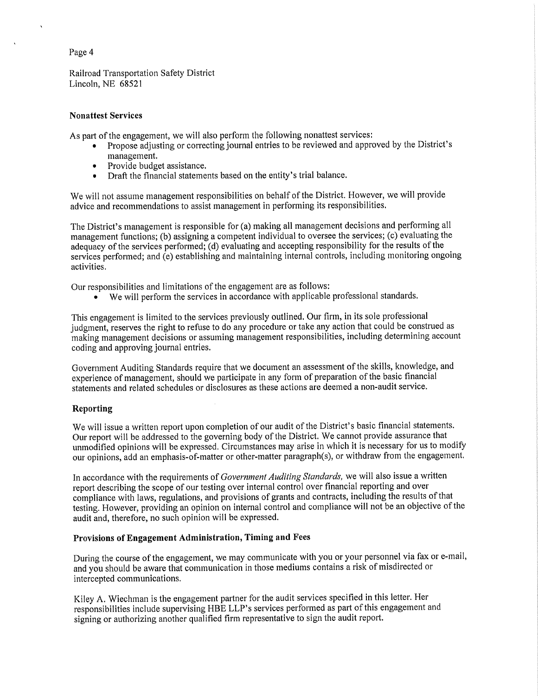Railroad Transportation Safety District Lincoln, NE 68521

# Nonattest Services

As part of the engagement, we will also perform the following nonattest services;

- Propose adjusting or correcting journal entries to be reviewed and approved by the District's management.
- Provide budget assistance.
- Draft the financial statements based on the entity's trial balance.

We will not assume management responsibilities on behalf of the District. However, we will provide advice and recommendations to assist management in performing its responsibilities.

The District's management is responsible for (a) making all management decisions and performing all management functions; (b) assigning a competent individual to oversee the services; (c) evaluating the adequacy of the services performed; (d) evaluating and accepting responsibility for the results of the services performed; and (e) establishing and maintaining internal controls, including monitoring ongoing activities.

Our responsibilities and limitations of the engagement are as follows:

• We will perform the services in accordance with applicable professional standards.

This engagement is limited to the services previously outlined. Our firm, in its sole professional judgment, reserves the right to refuse to do any procedure or take any action that could be construed as making management decisions or assuming management responsibilities, including determining account coding and approving journal entries.

Government Auditing Standards require that we document an assessment of the skills, knowledge, and experience of management, should we participate in any form of preparation of the basic financial statements and related schedules or disclosures as these actions are deemed a non-audit service.

# Reporting

We will issue a written report upon completion of our audit of the District's basic financial statements. Our report will be addressed to the governing body of the District. We cannot provide assurance that unmodified opinions will be expressed. Circumstances may arise in which it is necessary for us to modify our opinions, add an emphasis-of-matter or other-matter paragraph(s), or withdraw from the engagement.

In accordance with the requirements of Government Auditing Standards, we will also issue a written report describing the scope of our testing over internal control over financial reporting and over compliance with laws, regulations, and provisions of grants and contracts, including the results of that testing. However, providing an opinion on internal control and compliance will not be an objective of the audit and, therefore, no such opinion will be expressed.

# Provisions of Engagement Administration, Timing and Fees

During the course of the engagement, we may communicate with you or your personnel via fax or e-mail, and you should be aware that communication in those mediums contains a risk of misdirected or intercepted communications,

Kiley A. Wiechman is the engagement partner for the audit services specified in this letter. Her responsibilities include supervising HBE LLP's services performed as part of this engagement and signing or authorizing another qualified firm representative to sign the audit report.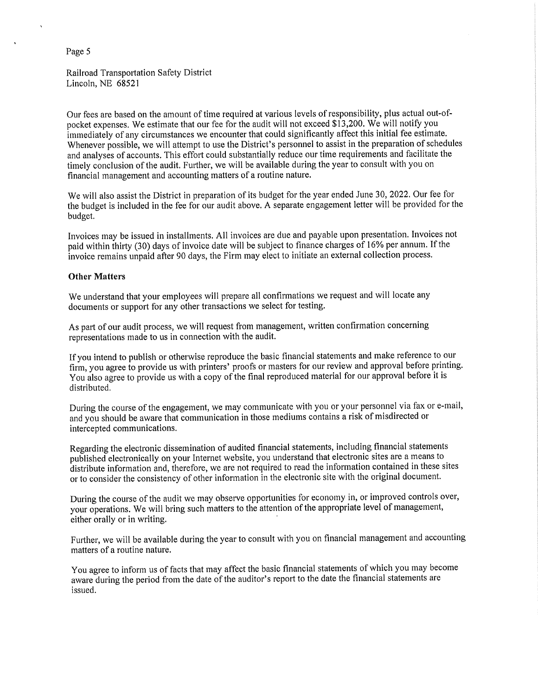Railroad Transportation Safety District Lincoln, NE 68521

Our fees are based on the amount of time required at various levels of responsibility, plus actual out-ofpocket expenses. We estimate that our fee for the audit will not exceed \$13,200. We will notify you immediately of any circumstances we encounter that could significantly affect this initial fee estimate. Whenever possible, we will attempt to use the District's personnel to assist in the preparation of schedules and analyses of accounts. This effort could substantially reduce our time requirements and facilitate the timely conclusion of the audit. Further, we will be available during the year to consult with you on financial management and accounting matters of a routine nature.

We will also assist the District in preparation of its budget for the year ended June 30, 2022. Our fee for the budget is included in the fee for our audit above. A separate engagement letter will be provided for the budget.

Invoices may be issued in installments. All invoices are due and payable upon presentation. Invoices not paid within thirty (30) days of invoice date will be subject to finance charges of 16% per annum. If the invoice remains unpaid after 90 days, the Firm may elect to initiate an external collection process.

#### Other Matters

We understand that your employees will prepare all confirmations we request and will locate any documents or support for any other transactions we select for testing,

As part of our audit process, we will request from management, written confirmation concerning representations made to us in connection with the audit.

If you intend to publish or otherwise reproduce the basic financial statements and make reference to our firm, you agree to provide us with printers' proofs or masters for our review and approval before printing. You also agree to provide us with a copy of the final reproduced material for our approval before it is distributed.

During the course of the engagement, we may communicate with you or your personnel via fax or e-mail, and you should be aware that communication in those mediums contains a risk of misdirected or intercepted communications.

Regarding the electronic dissemination of audited financial statements, including financial statements published electronically on your Internet website, you understand that electronic sites are a means to distribute information and, therefore, we are not required to read the information contained in these sites or to consider the consistency of other information in the electronic site with the original document.

During the course of the audit we may observe opportunities for economy in, or improved controls over, your operations. We will bring such matters to the attention of the appropriate level of management, either orally or in writing.

Further, we will be available during the year to consult with you on financial management and accounting matters of a routine nature,

You agree to inform us of facts that may affect the basic financial statements of which you may become aware during the period from the date of the auditor's report to the date the financial statements are issued.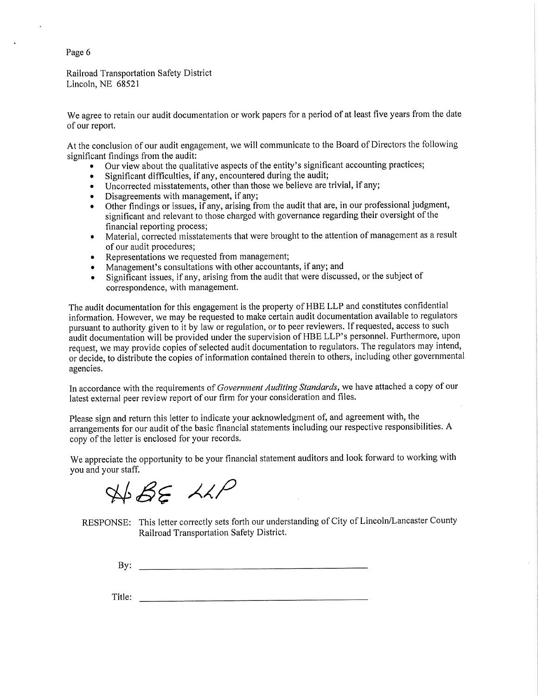Railroad Transportation Safety District Lincoln, NE 68521

We agree to retain our audit documentation or work papers for a period of at least five years from the date of our report.

At the conclusion of our audit engagement, we will communicate to the Board of Directors the following significant findings from the audit:

- Our view about the qualitative aspects of the entity's significant accounting practices;
- Significant difficulties, if any, encountered during the audit;  $\bullet$
- Uncorrected misstatements, other than those we believe are trivial, if any;  $\bullet$
- Disagreements with management, if any;
- Other findings or issues, if any, arising from the audit that are, in our professional judgment, significant and relevant to those charged with governance regarding their oversight of the financial reporting process;
- Material, corrected misstatements that were brought to the attention of management as a result of our audit procedures;
- Representations we requested from management;
- Management's consultations with other accountants, if any; and
- Significant issues, if any, arising from the audit that were discussed, or the subject of correspondence, with management.

The audit documentation for this engagement is the property of HBE LLP and constitutes confidential information. However, we may be requested to make certain audit documentation available to regulators pursuant to authority given to it by law or regulation, or to peer reviewers. If requested, access to such audit documentation will be provided under the supervision of HBE LLP's personnel. Furthermore, upon request, we may provide copies of selected audit documentation to regulators. The regulators may intend, or decide, to distribute the copies of information contained therein to others, including other governmental agencies.

In accordance with the requirements of Government Auditing Standards, we have attached a copy of our latest external peer review report of our firm for your consideration and files.

Please sign and return this letter to indicate your acknowledgment of, and agreement with, the arrangements for our audit of the basic financial statements including our respective responsibilities. A copy of the letter is enclosed for your records.

We appreciate the opportunity to be your financial statement auditors and look forward to working with you and your staff.

 $A\rightarrow B\in A\land P$ 

RESPONSE: This letter correctly sets forth our understanding of City of Lincoln/Lancaster County Railroad Transportation Safety District.

 $\mathbf{B} \mathbf{y}$ :

Title: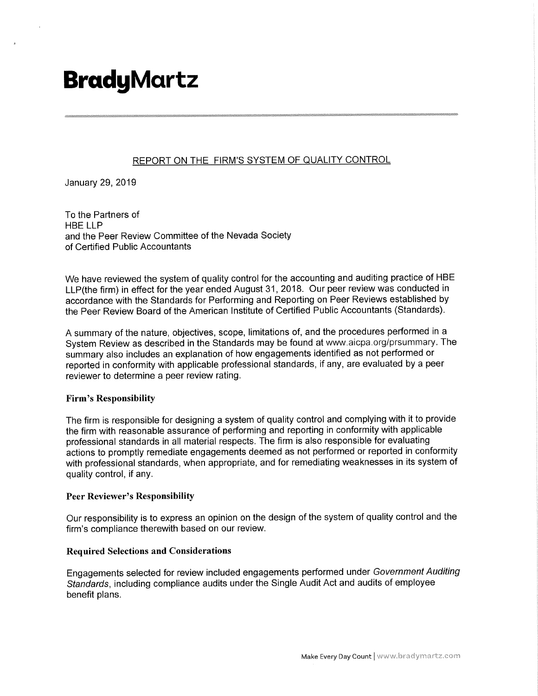# **BradyMartz**

# REPORT ON THE FIRM'S SYSTEM OF QUALITY CONTROL

January 29,2019

To the Partners of HBE LLP and the Peer Review Committee of the Nevada Society of Certified Public Accountants

We have reviewed the system of quality control for the accounting and auditing practice of HBE LLP(the firm) in effect for the year ended August 31 ,2018. Our peer review was conducted in accordance with the Standards for Performing and Reporting on Peer Reviews established by the Peer Review Board of the American Institute of Certified Public Accountants (Standards).

A summary of the nature, objectives, scope, limitations of, and the procedures performed in a System Review as described in the Standards may be found at www.aicpa.org/prsummary. The summary also includes an explanation of how engagements identified as not performed or reported in conformity with applicable professional standards, if any, are evaluated by a peer reviewer to determine a peer review rating.

# Firm's Responsibility

The firm is responsible for designing a system of quality control and complying with it to provide the firm with reasonable assurance of performing and reporting in conformity with applicable professional standards in all material respects. The firm is also responsible for evaluating actions to promptly remediate engagements deemed as not performed or reported in conformity with professional standards, when appropriate, and for remediating weaknesses in its system of quality control, if any.

# Peer Reviewer's Responsibility

Our responsibility is to express an opinion on the design of the system of quality control and the firm's compliance therewith based on our review.

# Required Selections and Considerations

Engagements selected for review included engagements performed under Government Auditing Standards, including compliance audits under the Single Audit Act and audits of employee benefit plans.